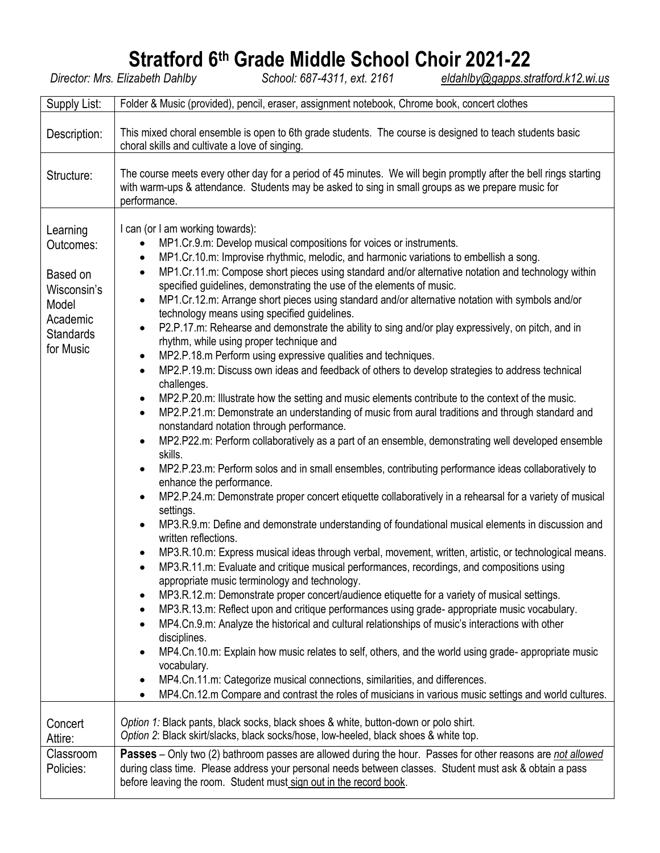# **Stratford 6<sup>th</sup> Grade Middle School Choir 2021-22**<br>Director: Mrs. Elizabeth Dahlby<br>School: 687-4311, ext. 2161<br>eldahlby@gapps.stu

*Director: Mrs. Elizabeth Dahlby School: 687-4311, ext. 2161 [eldahlby@gapps.stratford.k12.wi.us](mailto:eldahlby@gapps.stratford.k12.wi.us)*

| Supply List:                                                                                           | Folder & Music (provided), pencil, eraser, assignment notebook, Chrome book, concert clothes                                                                                                                                                                                                                                                                                                                                                                                                                                                                                                                                                                                                                                                                                                                                                                                                                                                                                                                                                                                                                                                                                                                                                                                                                                                                                                                                                                                                                                                                                                                                                                                                                                                                                                                                                                                                                                                                                                                                                                                                                                                                                                                                                                                                                                                                                                                                                                                                                                                                                                                                                                                                                                                      |  |  |  |  |  |
|--------------------------------------------------------------------------------------------------------|---------------------------------------------------------------------------------------------------------------------------------------------------------------------------------------------------------------------------------------------------------------------------------------------------------------------------------------------------------------------------------------------------------------------------------------------------------------------------------------------------------------------------------------------------------------------------------------------------------------------------------------------------------------------------------------------------------------------------------------------------------------------------------------------------------------------------------------------------------------------------------------------------------------------------------------------------------------------------------------------------------------------------------------------------------------------------------------------------------------------------------------------------------------------------------------------------------------------------------------------------------------------------------------------------------------------------------------------------------------------------------------------------------------------------------------------------------------------------------------------------------------------------------------------------------------------------------------------------------------------------------------------------------------------------------------------------------------------------------------------------------------------------------------------------------------------------------------------------------------------------------------------------------------------------------------------------------------------------------------------------------------------------------------------------------------------------------------------------------------------------------------------------------------------------------------------------------------------------------------------------------------------------------------------------------------------------------------------------------------------------------------------------------------------------------------------------------------------------------------------------------------------------------------------------------------------------------------------------------------------------------------------------------------------------------------------------------------------------------------------------|--|--|--|--|--|
| Description:                                                                                           | This mixed choral ensemble is open to 6th grade students. The course is designed to teach students basic<br>choral skills and cultivate a love of singing.                                                                                                                                                                                                                                                                                                                                                                                                                                                                                                                                                                                                                                                                                                                                                                                                                                                                                                                                                                                                                                                                                                                                                                                                                                                                                                                                                                                                                                                                                                                                                                                                                                                                                                                                                                                                                                                                                                                                                                                                                                                                                                                                                                                                                                                                                                                                                                                                                                                                                                                                                                                        |  |  |  |  |  |
| Structure:                                                                                             | The course meets every other day for a period of 45 minutes. We will begin promptly after the bell rings starting<br>with warm-ups & attendance. Students may be asked to sing in small groups as we prepare music for<br>performance.                                                                                                                                                                                                                                                                                                                                                                                                                                                                                                                                                                                                                                                                                                                                                                                                                                                                                                                                                                                                                                                                                                                                                                                                                                                                                                                                                                                                                                                                                                                                                                                                                                                                                                                                                                                                                                                                                                                                                                                                                                                                                                                                                                                                                                                                                                                                                                                                                                                                                                            |  |  |  |  |  |
| Learning<br>Outcomes:<br>Based on<br>Wisconsin's<br>Model<br>Academic<br><b>Standards</b><br>for Music | I can (or I am working towards):<br>MP1.Cr.9.m: Develop musical compositions for voices or instruments.<br>MP1.Cr.10.m: Improvise rhythmic, melodic, and harmonic variations to embellish a song.<br>$\bullet$<br>MP1.Cr.11.m: Compose short pieces using standard and/or alternative notation and technology within<br>$\bullet$<br>specified guidelines, demonstrating the use of the elements of music.<br>MP1.Cr.12.m: Arrange short pieces using standard and/or alternative notation with symbols and/or<br>technology means using specified guidelines.<br>P2.P.17.m: Rehearse and demonstrate the ability to sing and/or play expressively, on pitch, and in<br>$\bullet$<br>rhythm, while using proper technique and<br>MP2.P.18.m Perform using expressive qualities and techniques.<br>$\bullet$<br>MP2.P.19.m: Discuss own ideas and feedback of others to develop strategies to address technical<br>$\bullet$<br>challenges.<br>MP2.P.20.m: Illustrate how the setting and music elements contribute to the context of the music.<br>$\bullet$<br>MP2.P.21.m: Demonstrate an understanding of music from aural traditions and through standard and<br>$\bullet$<br>nonstandard notation through performance.<br>MP2.P22.m: Perform collaboratively as a part of an ensemble, demonstrating well developed ensemble<br>$\bullet$<br>skills.<br>MP2.P.23.m: Perform solos and in small ensembles, contributing performance ideas collaboratively to<br>$\bullet$<br>enhance the performance.<br>MP2.P.24.m: Demonstrate proper concert etiquette collaboratively in a rehearsal for a variety of musical<br>$\bullet$<br>settings.<br>MP3.R.9.m: Define and demonstrate understanding of foundational musical elements in discussion and<br>$\bullet$<br>written reflections.<br>MP3.R.10.m: Express musical ideas through verbal, movement, written, artistic, or technological means.<br>٠<br>MP3.R.11.m: Evaluate and critique musical performances, recordings, and compositions using<br>$\bullet$<br>appropriate music terminology and technology.<br>MP3.R.12.m: Demonstrate proper concert/audience etiquette for a variety of musical settings.<br>٠<br>MP3.R.13.m: Reflect upon and critique performances using grade- appropriate music vocabulary.<br>٠<br>MP4.Cn.9.m: Analyze the historical and cultural relationships of music's interactions with other<br>disciplines.<br>MP4.Cn.10.m: Explain how music relates to self, others, and the world using grade- appropriate music<br>$\bullet$<br>vocabulary.<br>MP4.Cn.11.m: Categorize musical connections, similarities, and differences.<br>٠<br>MP4.Cn.12.m Compare and contrast the roles of musicians in various music settings and world cultures.<br>$\bullet$ |  |  |  |  |  |
| Concert<br>Attire:                                                                                     | Option 1: Black pants, black socks, black shoes & white, button-down or polo shirt.<br>Option 2: Black skirt/slacks, black socks/hose, low-heeled, black shoes & white top.                                                                                                                                                                                                                                                                                                                                                                                                                                                                                                                                                                                                                                                                                                                                                                                                                                                                                                                                                                                                                                                                                                                                                                                                                                                                                                                                                                                                                                                                                                                                                                                                                                                                                                                                                                                                                                                                                                                                                                                                                                                                                                                                                                                                                                                                                                                                                                                                                                                                                                                                                                       |  |  |  |  |  |
| Classroom<br>Policies:                                                                                 | Passes - Only two (2) bathroom passes are allowed during the hour. Passes for other reasons are not allowed<br>during class time. Please address your personal needs between classes. Student must ask & obtain a pass<br>before leaving the room. Student must sign out in the record book.                                                                                                                                                                                                                                                                                                                                                                                                                                                                                                                                                                                                                                                                                                                                                                                                                                                                                                                                                                                                                                                                                                                                                                                                                                                                                                                                                                                                                                                                                                                                                                                                                                                                                                                                                                                                                                                                                                                                                                                                                                                                                                                                                                                                                                                                                                                                                                                                                                                      |  |  |  |  |  |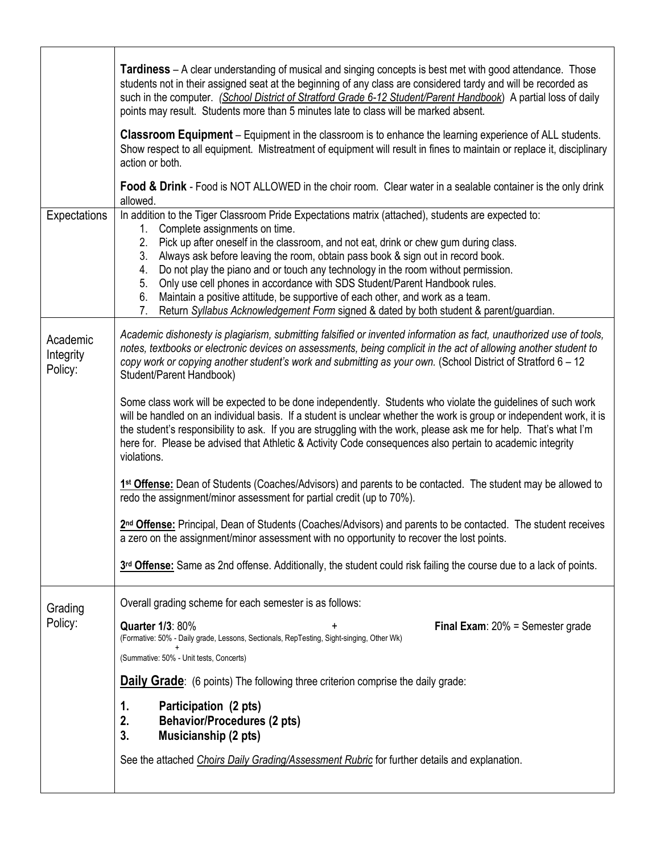|                                  | Tardiness - A clear understanding of musical and singing concepts is best met with good attendance. Those<br>students not in their assigned seat at the beginning of any class are considered tardy and will be recorded as<br>such in the computer. (School District of Stratford Grade 6-12 Student/Parent Handbook) A partial loss of daily<br>points may result. Students more than 5 minutes late to class will be marked absent.<br>Classroom Equipment - Equipment in the classroom is to enhance the learning experience of ALL students.<br>Show respect to all equipment. Mistreatment of equipment will result in fines to maintain or replace it, disciplinary<br>action or both.<br><b>Food &amp; Drink</b> - Food is NOT ALLOWED in the choir room. Clear water in a sealable container is the only drink<br>allowed.                                                                                                                                                                                                                                                                                                                                                                                                                                                                                                                                                                                |  |  |  |  |  |  |
|----------------------------------|--------------------------------------------------------------------------------------------------------------------------------------------------------------------------------------------------------------------------------------------------------------------------------------------------------------------------------------------------------------------------------------------------------------------------------------------------------------------------------------------------------------------------------------------------------------------------------------------------------------------------------------------------------------------------------------------------------------------------------------------------------------------------------------------------------------------------------------------------------------------------------------------------------------------------------------------------------------------------------------------------------------------------------------------------------------------------------------------------------------------------------------------------------------------------------------------------------------------------------------------------------------------------------------------------------------------------------------------------------------------------------------------------------------------|--|--|--|--|--|--|
| Expectations                     | In addition to the Tiger Classroom Pride Expectations matrix (attached), students are expected to:<br>Complete assignments on time.<br>1.<br>Pick up after oneself in the classroom, and not eat, drink or chew gum during class.<br>2.<br>Always ask before leaving the room, obtain pass book & sign out in record book.<br>3.<br>Do not play the piano and or touch any technology in the room without permission.<br>4.<br>5.<br>Only use cell phones in accordance with SDS Student/Parent Handbook rules.<br>Maintain a positive attitude, be supportive of each other, and work as a team.<br>6.<br>7.<br>Return Syllabus Acknowledgement Form signed & dated by both student & parent/guardian.                                                                                                                                                                                                                                                                                                                                                                                                                                                                                                                                                                                                                                                                                                            |  |  |  |  |  |  |
| Academic<br>Integrity<br>Policy: | Academic dishonesty is plagiarism, submitting falsified or invented information as fact, unauthorized use of tools,<br>notes, textbooks or electronic devices on assessments, being complicit in the act of allowing another student to<br>copy work or copying another student's work and submitting as your own. (School District of Stratford 6 – 12<br>Student/Parent Handbook)<br>Some class work will be expected to be done independently. Students who violate the guidelines of such work<br>will be handled on an individual basis. If a student is unclear whether the work is group or independent work, it is<br>the student's responsibility to ask. If you are struggling with the work, please ask me for help. That's what I'm<br>here for. Please be advised that Athletic & Activity Code consequences also pertain to academic integrity<br>violations.<br>1st Offense: Dean of Students (Coaches/Advisors) and parents to be contacted. The student may be allowed to<br>redo the assignment/minor assessment for partial credit (up to 70%).<br>2 <sup>nd</sup> Offense: Principal, Dean of Students (Coaches/Advisors) and parents to be contacted. The student receives<br>a zero on the assignment/minor assessment with no opportunity to recover the lost points.<br>3rd Offense: Same as 2nd offense. Additionally, the student could risk failing the course due to a lack of points. |  |  |  |  |  |  |
| Grading<br>Policy:               | Overall grading scheme for each semester is as follows:<br><b>Quarter 1/3: 80%</b><br><b>Final Exam:</b> $20%$ = Semester grade<br>(Formative: 50% - Daily grade, Lessons, Sectionals, RepTesting, Sight-singing, Other Wk)<br>(Summative: 50% - Unit tests, Concerts)<br><b>Daily Grade:</b> (6 points) The following three criterion comprise the daily grade:<br>Participation (2 pts)<br>1.<br><b>Behavior/Procedures (2 pts)</b><br>2.<br>3.<br>Musicianship (2 pts)<br>See the attached Choirs Daily Grading/Assessment Rubric for further details and explanation.                                                                                                                                                                                                                                                                                                                                                                                                                                                                                                                                                                                                                                                                                                                                                                                                                                          |  |  |  |  |  |  |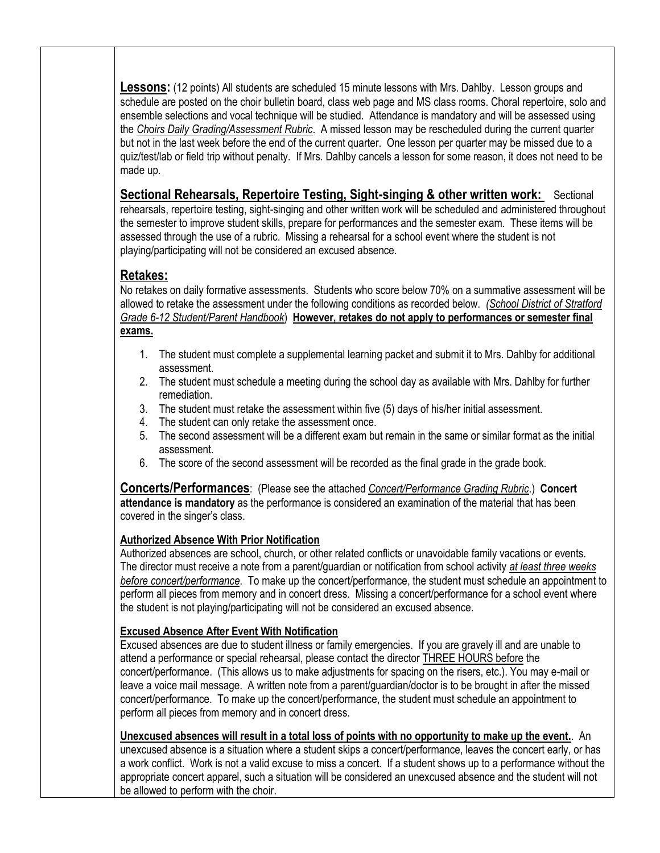**Lessons:** (12 points) All students are scheduled 15 minute lessons with Mrs. Dahlby. Lesson groups and schedule are posted on the choir bulletin board, class web page and MS class rooms. Choral repertoire, solo and ensemble selections and vocal technique will be studied. Attendance is mandatory and will be assessed using the *Ch*o*irs Daily Grading/Assessment Rubric*. A missed lesson may be rescheduled during the current quarter but not in the last week before the end of the current quarter. One lesson per quarter may be missed due to a quiz/test/lab or field trip without penalty. If Mrs. Dahlby cancels a lesson for some reason, it does not need to be made up.

#### **Sectional Rehearsals, Repertoire Testing, Sight-singing & other written work:** Sectional rehearsals, repertoire testing, sight-singing and other written work will be scheduled and administered throughout the semester to improve student skills, prepare for performances and the semester exam. These items will be assessed through the use of a rubric. Missing a rehearsal for a school event where the student is not

### **Retakes:**

No retakes on daily formative assessments. Students who score below 70% on a summative assessment will be allowed to retake the assessment under the following conditions as recorded below. *(School District of Stratford Grade 6-12 Student/Parent Handbook*) **However, retakes do not apply to performances or semester final exams.**

- 1. The student must complete a supplemental learning packet and submit it to Mrs. Dahlby for additional assessment.
- 2. The student must schedule a meeting during the school day as available with Mrs. Dahlby for further remediation.
- 3. The student must retake the assessment within five (5) days of his/her initial assessment.
- 4. The student can only retake the assessment once.

playing/participating will not be considered an excused absence.

- 5. The second assessment will be a different exam but remain in the same or similar format as the initial assessment.
- 6. The score of the second assessment will be recorded as the final grade in the grade book.

**Concerts/Performances**: (Please see the attached *Concert/Performance Grading Rubric*.) **Concert attendance is mandatory** as the performance is considered an examination of the material that has been covered in the singer's class.

#### **Authorized Absence With Prior Notification**

Authorized absences are school, church, or other related conflicts or unavoidable family vacations or events. The director must receive a note from a parent/guardian or notification from school activity *at least three weeks before concert/performance*. To make up the concert/performance, the student must schedule an appointment to perform all pieces from memory and in concert dress. Missing a concert/performance for a school event where the student is not playing/participating will not be considered an excused absence.

#### **Excused Absence After Event With Notification**

Excused absences are due to student illness or family emergencies. If you are gravely ill and are unable to attend a performance or special rehearsal, please contact the director THREE HOURS before the concert/performance. (This allows us to make adjustments for spacing on the risers, etc.). You may e-mail or leave a voice mail message. A written note from a parent/guardian/doctor is to be brought in after the missed concert/performance. To make up the concert/performance, the student must schedule an appointment to perform all pieces from memory and in concert dress.

**Unexcused absences will result in a total loss of points with no opportunity to make up the event.**. An unexcused absence is a situation where a student skips a concert/performance, leaves the concert early, or has a work conflict. Work is not a valid excuse to miss a concert. If a student shows up to a performance without the appropriate concert apparel, such a situation will be considered an unexcused absence and the student will not be allowed to perform with the choir.